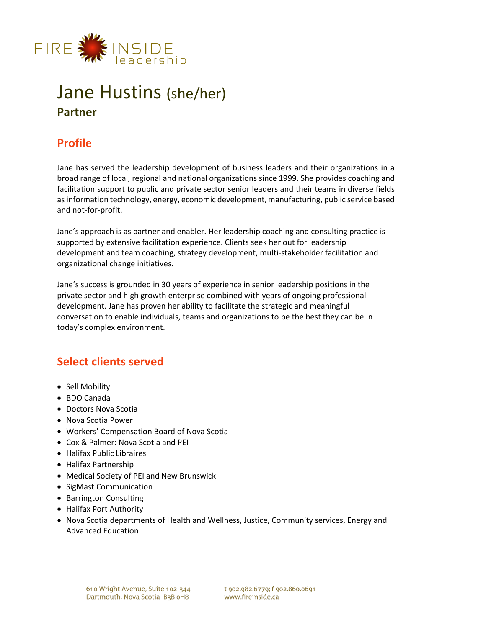

# Jane Hustins (she/her) **Partner**

# **Profile**

Jane has served the leadership development of business leaders and their organizations in a broad range of local, regional and national organizations since 1999. She provides coaching and facilitation support to public and private sector senior leaders and their teams in diverse fields as information technology, energy, economic development, manufacturing, public service based and not-for-profit.

Jane's approach is as partner and enabler. Her leadership coaching and consulting practice is supported by extensive facilitation experience. Clients seek her out for leadership development and team coaching, strategy development, multi-stakeholder facilitation and organizational change initiatives.

Jane's success is grounded in 30 years of experience in senior leadership positions in the private sector and high growth enterprise combined with years of ongoing professional development. Jane has proven her ability to facilitate the strategic and meaningful conversation to enable individuals, teams and organizations to be the best they can be in today's complex environment.

# **Select clients served**

- Sell Mobility
- BDO Canada
- Doctors Nova Scotia
- Nova Scotia Power
- Workers' Compensation Board of Nova Scotia
- Cox & Palmer: Nova Scotia and PEI
- Halifax Public Libraires
- Halifax Partnership
- Medical Society of PEI and New Brunswick
- SigMast Communication
- Barrington Consulting
- Halifax Port Authority
- Nova Scotia departments of Health and Wellness, Justice, Community services, Energy and Advanced Education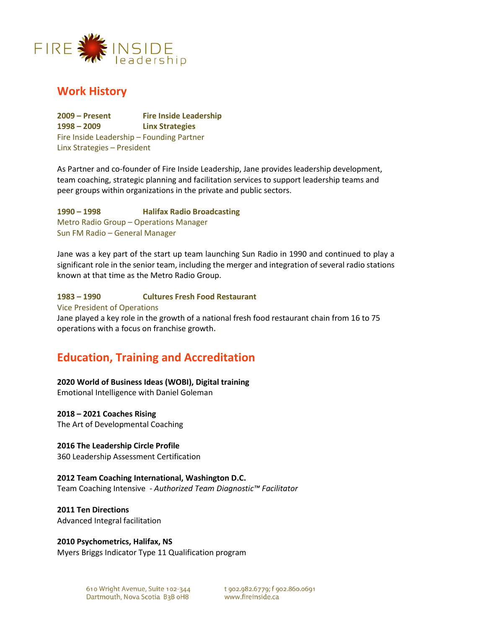

## **Work History**

**2009 – Present Fire Inside Leadership 1998 – 2009 Linx Strategies**  Fire Inside Leadership – Founding Partner Linx Strategies – President

As Partner and co-founder of Fire Inside Leadership, Jane provides leadership development, team coaching, strategic planning and facilitation services to support leadership teams and peer groups within organizations in the private and public sectors.

**1990 – 1998 Halifax Radio Broadcasting** Metro Radio Group – Operations Manager Sun FM Radio – General Manager

Jane was a key part of the start up team launching Sun Radio in 1990 and continued to play a significant role in the senior team, including the merger and integration of several radio stations known at that time as the Metro Radio Group.

#### **1983 – 1990 Cultures Fresh Food Restaurant**

#### Vice President of Operations

Jane played a key role in the growth of a national fresh food restaurant chain from 16 to 75 operations with a focus on franchise growth**.** 

# **Education, Training and Accreditation**

#### **2020 World of Business Ideas (WOBI), Digital training**

Emotional Intelligence with Daniel Goleman

#### **2018 – 2021 Coaches Rising**

The Art of Developmental Coaching

#### **2016 The Leadership Circle Profile**

360 Leadership Assessment Certification

#### **2012 Team Coaching International, Washington D.C.**

Team Coaching Intensive - *Authorized Team Diagnostic™ Facilitator*

#### **2011 Ten Directions**

Advanced Integral facilitation

#### **2010 Psychometrics, Halifax, NS**

Myers Briggs Indicator Type 11 Qualification program